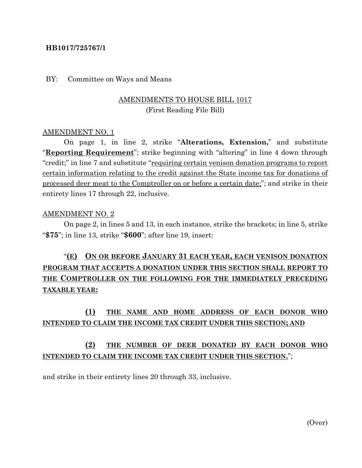### **HB1017/725767/1**

#### BY: Committee on Ways and Means

### AMENDMENTS TO HOUSE BILL 1017 (First Reading File Bill)

#### AMENDMENT NO. 1

On page 1, in line 2, strike "**Alterations, Extension,**" and substitute "**Reporting Requirement**"; strike beginning with "altering" in line 4 down through "credit;" in line 7 and substitute "requiring certain venison donation programs to report certain information relating to the credit against the State income tax for donations of processed deer meat to the Comptroller on or before a certain date;"; and strike in their entirety lines 17 through 22, inclusive.

#### AMENDMENT NO. 2

On page 2, in lines 5 and 13, in each instance, strike the brackets; in line 5, strike "**\$75**"; in line 13, strike "**\$600**"; after line 19, insert:

# "**(E) ON OR BEFORE JANUARY 31 EACH YEAR, EACH VENISON DONATION PROGRAM THAT ACCEPTS A DONATION UNDER THIS SECTION SHALL REPORT TO THE COMPTROLLER ON THE FOLLOWING FOR THE IMMEDIATELY PRECEDING TAXABLE YEAR:**

## **(1) THE NAME AND HOME ADDRESS OF EACH DONOR WHO INTENDED TO CLAIM THE INCOME TAX CREDIT UNDER THIS SECTION; AND**

## **(2) THE NUMBER OF DEER DONATED BY EACH DONOR WHO INTENDED TO CLAIM THE INCOME TAX CREDIT UNDER THIS SECTION.**";

and strike in their entirety lines 20 through 33, inclusive.